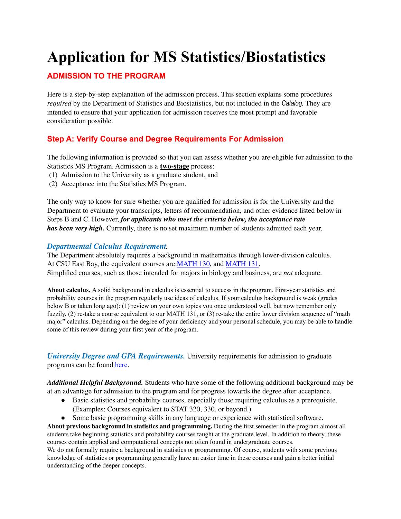# **Application for MS Statistics/Biostatistics**

# **ADMISSION TO THE PROGRAM**

Here is a step-by-step explanation of the admission process. This section explains some procedures *required* by the Department of Statistics and Biostatistics, but not included in the *Catalog.* They are intended to ensure that your application for admission receives the most prompt and favorable consideration possible.

# **Step A: Verify Course and Degree Requirements For Admission**

The following information is provided so that you can assess whether you are eligible for admission to the Statistics MS Program. Admission is a **two-stage** process:

- (1) Admission to the University as a graduate student, and
- (2) Acceptance into the Statistics MS Program.

The only way to know for sure whether you are qualified for admission is for the University and the Department to evaluate your transcripts, letters of recommendation, and other evidence listed below in Steps B and C. However, *for applicants who meet the criteria below, the acceptance rate has been very high.* Currently, there is no set maximum number of students admitted each year.

#### *Departmental Calculus Requirement.*

The Department absolutely requires a background in mathematics through lower-division calculus. At CSU East Bay, the equivalent courses are [MATH](https://catalog.csueastbay.edu/content.php?filter%5B27%5D=MATH&filter%5B29%5D=130&filter%5Bcourse_type%5D=-1&filter%5Bkeyword%5D=&filter%5B32%5D=1&filter%5Bcpage%5D=1&cur_cat_oid=24&expand=&navoid=19718&search_database=Filter&filter%5Bexact_match%5D=1#acalog_template_course_filter) 130, and [MATH](https://catalog.csueastbay.edu/content.php?filter%5B27%5D=MATH&filter%5B29%5D=131&filter%5Bcourse_type%5D=-1&filter%5Bkeyword%5D=&filter%5B32%5D=1&filter%5Bcpage%5D=1&cur_cat_oid=24&expand=&navoid=19718&search_database=Filter&filter%5Bexact_match%5D=1#acalog_template_course_filter) 131. Simplified courses, such as those intended for majors in biology and business, are *not* adequate.

**About calculus.** A solid background in calculus is essential to success in the program. First-year statistics and probability courses in the program regularly use ideas of calculus. If your calculus background is weak (grades below B or taken long ago): (1) review on your own topics you once understood well, but now remember only fuzzily, (2) re-take a course equivalent to our MATH 131, or (3) re-take the entire lower division sequence of "math major" calculus. Depending on the degree of your deficiency and your personal schedule, you may be able to handle some of this review during your first year of the program.

*University Degree and GPA Requirements.* University requirements for admission to graduate programs can be found [here.](https://catalog.csueastbay.edu/content.php?catoid=24&navoid=19791#admission)

*Additional Helpful Background.* Students who have some of the following additional background may be at an advantage for admission to the program and for progress towards the degree after acceptance.

- Basic statistics and probability courses, especially those requiring calculus as a prerequisite. (Examples: Courses equivalent to STAT 320, 330, or beyond.)
- Some basic programming skills in any language or experience with statistical software.

**About previous background in statistics and programming.** During the first semester in the program almost all students take beginning statistics and probability courses taught at the graduate level. In addition to theory, these courses contain applied and computational concepts not often found in undergraduate courses.

We do not formally require a background in statistics or programming. Of course, students with some previous knowledge of statistics or programming generally have an easier time in these courses and gain a better initial understanding of the deeper concepts.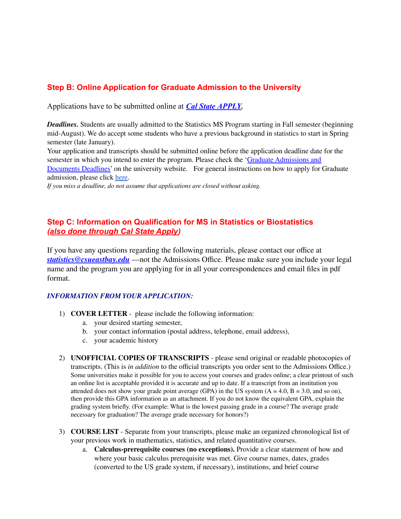# **Step B: Online Application for Graduate Admission to the University**

Applications have to be submitted online at *[Cal State](https://www2.calstate.edu/apply) APPLY.*

*Deadlines.* Students are usually admitted to the Statistics MS Program starting in Fall semester (beginning mid-August). We do accept some students who have a previous background in statistics to start in Spring semester (late January).

Your application and transcripts should be submitted online before the application deadline date for the semester in which you intend to enter the program. Please check the 'Graduate [Admissions](https://www.csueastbay.edu/admissions/documents-deadlines-and-important-information/application-and-doc-deadlines/graduate-and-credential-students.html) and [Documents](https://www.csueastbay.edu/admissions/documents-deadlines-and-important-information/application-and-doc-deadlines/graduate-and-credential-students.html) Deadlines' on the university website. For general instructions on how to apply for Graduate admission, please click [here](https://www.csueastbay.edu/admissions/graduate-requirements/how-to-apply.html).

*If you miss a deadline, do not assume that applications are closed without asking.*

# **Step C: Information on Qualification for MS in Statistics or Biostatistics** *(also done through Cal State Apply)*

If you have any questions regarding the following materials, please contact our office at *[statistics@csueastbay.edu](mailto:statistics@csueastbay.edu)* —not the Admissions Office. Please make sure you include your legal name and the program you are applying for in all your correspondences and email files in pdf format.

#### *INFORMATION FROM YOUR APPLICATION:*

- 1) **COVER LETTER** please include the following information:
	- a. your desired starting semester,
	- b. your contact information (postal address, telephone, email address),
	- c. your academic history
- 2) **UNOFFICIAL COPIES OF TRANSCRIPTS** please send original or readable photocopies of transcripts. (This is *in addition* to the official transcripts you order sent to the Admissions Office.) Some universities make it possible for you to access your courses and grades online; a clear printout of such an online list is acceptable provided it is accurate and up to date. If a transcript from an institution you attended does not show your grade point average (GPA) in the US system  $(A = 4.0, B = 3.0, and so on)$ , then provide this GPA information as an attachment. If you do not know the equivalent GPA, explain the grading system briefly. (For example: What is the lowest passing grade in a course? The average grade necessary for graduation? The average grade necessary for honors?)
- 3) **COURSE LIST** Separate from your transcripts, please make an organized chronological list of your previous work in mathematics, statistics, and related quantitative courses.
	- a. **Calculus-prerequisite courses (no exceptions).** Provide a clear statement of how and where your basic calculus prerequisite was met. Give course names, dates, grades (converted to the US grade system, if necessary), institutions, and brief course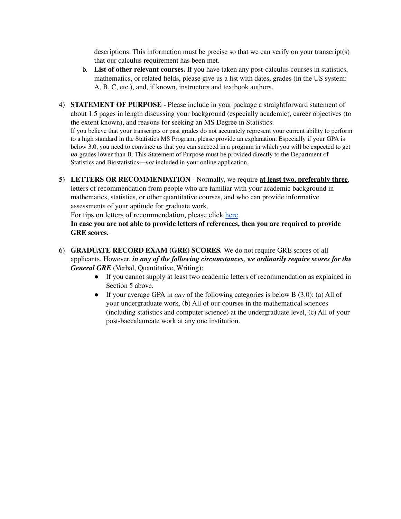descriptions. This information must be precise so that we can verify on your transcript(s) that our calculus requirement has been met.

- b. **List of other relevant courses.** If you have taken any post-calculus courses in statistics, mathematics, or related fields, please give us a list with dates, grades (in the US system: A, B, C, etc.), and, if known, instructors and textbook authors.
- 4) **STATEMENT OF PURPOSE** Please include in your package a straightforward statement of about 1.5 pages in length discussing your background (especially academic), career objectives (to the extent known), and reasons for seeking an MS Degree in Statistics. If you believe that your transcripts or past grades do not accurately represent your current ability to perform to a high standard in the Statistics MS Program, please provide an explanation. Especially if your GPA is below 3.0, you need to convince us that you can succeed in a program in which you will be expected to get *no* grades lower than B. This Statement of Purpose must be provided directly to the Department of Statistics and Biostatistics**—***not* included in your online application.
- **5) LETTERS OR RECOMMENDATION** Normally, we require **at least two, preferably three**, letters of recommendation from people who are familiar with your academic background in mathematics, statistics, or other quantitative courses, and who can provide informative assessments of your aptitude for graduate work.

For tips on letters of recommendation, please click [here.](https://www.csueastbay.edu/admissions/files/docs/letters-of-rec.pdf)

**In case you are not able to provide letters of references, then you are required to provide GRE scores.**

- 6) **GRADUATE RECORD EXAM (GRE) SCORES***.* We do not require GRE scores of all applicants. However, *in any of the following circumstances, we ordinarily require scores for the General GRE* (Verbal, Quantitative, Writing):
	- If you cannot supply at least two academic letters of recommendation as explained in Section 5 above.
	- If your average GPA in *any* of the following categories is below B (3.0): (a) All of your undergraduate work, (b) All of our courses in the mathematical sciences (including statistics and computer science) at the undergraduate level, (c) All of your post-baccalaureate work at any one institution.